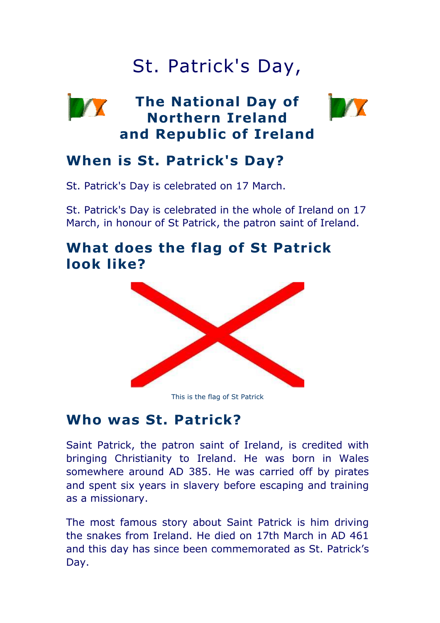# St. Patrick's Day,

## **The National Day of Northern Ireland and Republic of Ireland**



## **When is St. Patrick's Day?**

St. Patrick's Day is celebrated on 17 March.

St. Patrick's Day is celebrated in the whole of Ireland on 17 March, in honour of St Patrick, the patron saint of Ireland.

## **What does the flag of St Patrick look like?**



This is the flag of St Patrick

#### **Who was St. Patrick?**

Saint Patrick, the patron saint of Ireland, is credited with bringing Christianity to Ireland. He was born in Wales somewhere around AD 385. He was carried off by pirates and spent six years in slavery before escaping and training as a missionary.

The most famous story about Saint Patrick is him driving the snakes from Ireland. He died on 17th March in AD 461 and this day has since been commemorated as St. Patrick's Day.